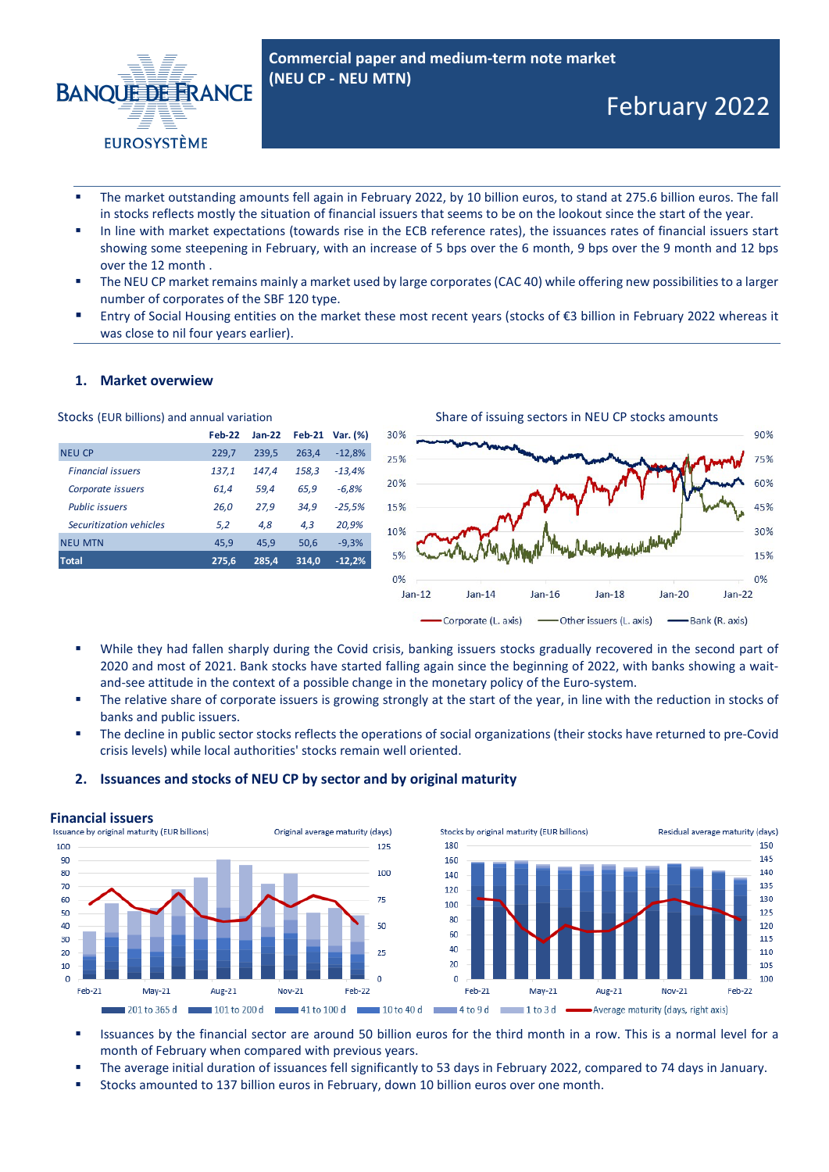

- The market outstanding amounts fell again in February 2022, by 10 billion euros, to stand at 275.6 billion euros. The fall in stocks reflects mostly the situation of financial issuers that seems to be on the lookout since the start of the year.
- In line with market expectations (towards rise in the ECB reference rates), the issuances rates of financial issuers start showing some steepening in February, with an increase of 5 bps over the 6 month, 9 bps over the 9 month and 12 bps over the 12 month .
- The NEU CP market remains mainly a market used by large corporates (CAC 40) while offering new possibilities to a larger number of corporates of the SBF 120 type.
- Entry of Social Housing entities on the market these most recent years (stocks of €3 billion in February 2022 whereas it was close to nil four years earlier).

# **1. Market overwiew**

|                          | <b>Feb-22</b> | $Jan-22$ | <b>Feb-21</b> | Var. (%) |
|--------------------------|---------------|----------|---------------|----------|
| <b>NEU CP</b>            | 229,7         | 239,5    | 263,4         | $-12,8%$ |
| <b>Financial issuers</b> | 137,1         | 147.4    | 158,3         | $-13,4%$ |
| Corporate issuers        | 61,4          | 59,4     | 65,9          | $-6.8%$  |
| <b>Public issuers</b>    | 26,0          | 27,9     | 34,9          | $-25,5%$ |
| Securitization vehicles  | 5,2           | 4,8      | 4,3           | 20,9%    |
| <b>NEU MTN</b>           | 45.9          | 45.9     | 50.6          | $-9,3%$  |
| <b>Total</b>             | 275,6         | 285,4    | 314,0         | $-12,2%$ |
|                          |               |          |               |          |



- While they had fallen sharply during the Covid crisis, banking issuers stocks gradually recovered in the second part of 2020 and most of 2021. Bank stocks have started falling again since the beginning of 2022, with banks showing a waitand-see attitude in the context of a possible change in the monetary policy of the Euro-system.
- The relative share of corporate issuers is growing strongly at the start of the year, in line with the reduction in stocks of banks and public issuers.
- The decline in public sector stocks reflects the operations of social organizations (their stocks have returned to pre-Covid crisis levels) while local authorities' stocks remain well oriented.



# **2. Issuances and stocks of NEU CP by sector and by original maturity**

- Issuances by the financial sector are around 50 billion euros for the third month in a row. This is a normal level for a month of February when compared with previous years.
- The average initial duration of issuances fell significantly to 53 days in February 2022, compared to 74 days in January.
- Stocks amounted to 137 billion euros in February, down 10 billion euros over one month.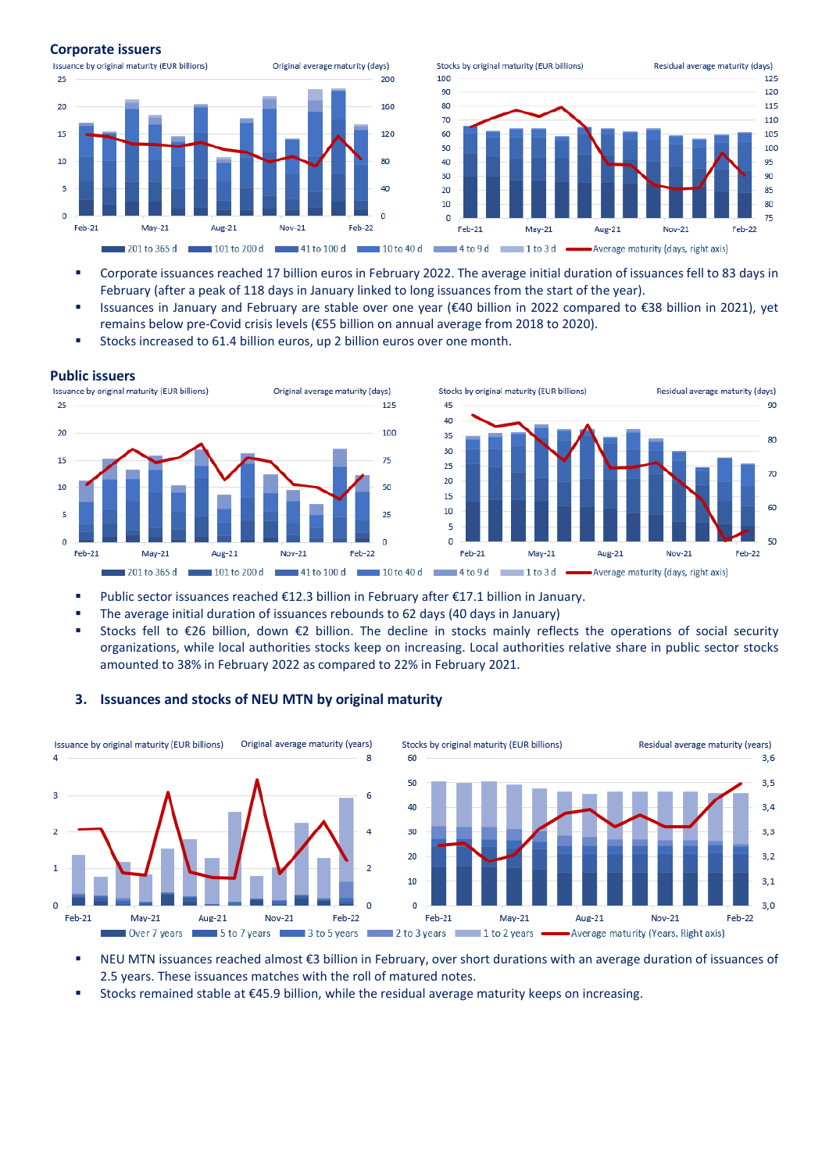### **Corporate issuers**



- Corporate issuances reached 17 billion euros in February 2022. The average initial duration of issuances fell to 83 days in February (after a peak of 118 days in January linked to long issuances from the start of the year).
- Issuances in January and February are stable over one year (€40 billion in 2022 compared to €38 billion in 2021), yet remains below pre-Covid crisis levels (€55 billion on annual average from 2018 to 2020).
- Stocks increased to 61.4 billion euros, up 2 billion euros over one month.





- Public sector issuances reached €12.3 billion in February after €17.1 billion in January.
- The average initial duration of issuances rebounds to 62 days (40 days in January)
- Stocks fell to €26 billion, down €2 billion. The decline in stocks mainly reflects the operations of social security organizations, while local authorities stocks keep on increasing. Local authorities relative share in public sector stocks amounted to 38% in February 2022 as compared to 22% in February 2021.

## **3. Issuances and stocks of NEU MTN by original maturity**



- NEU MTN issuances reached almost €3 billion in February, over short durations with an average duration of issuances of 2.5 years. These issuances matches with the roll of matured notes.
- Stocks remained stable at €45.9 billion, while the residual average maturity keeps on increasing.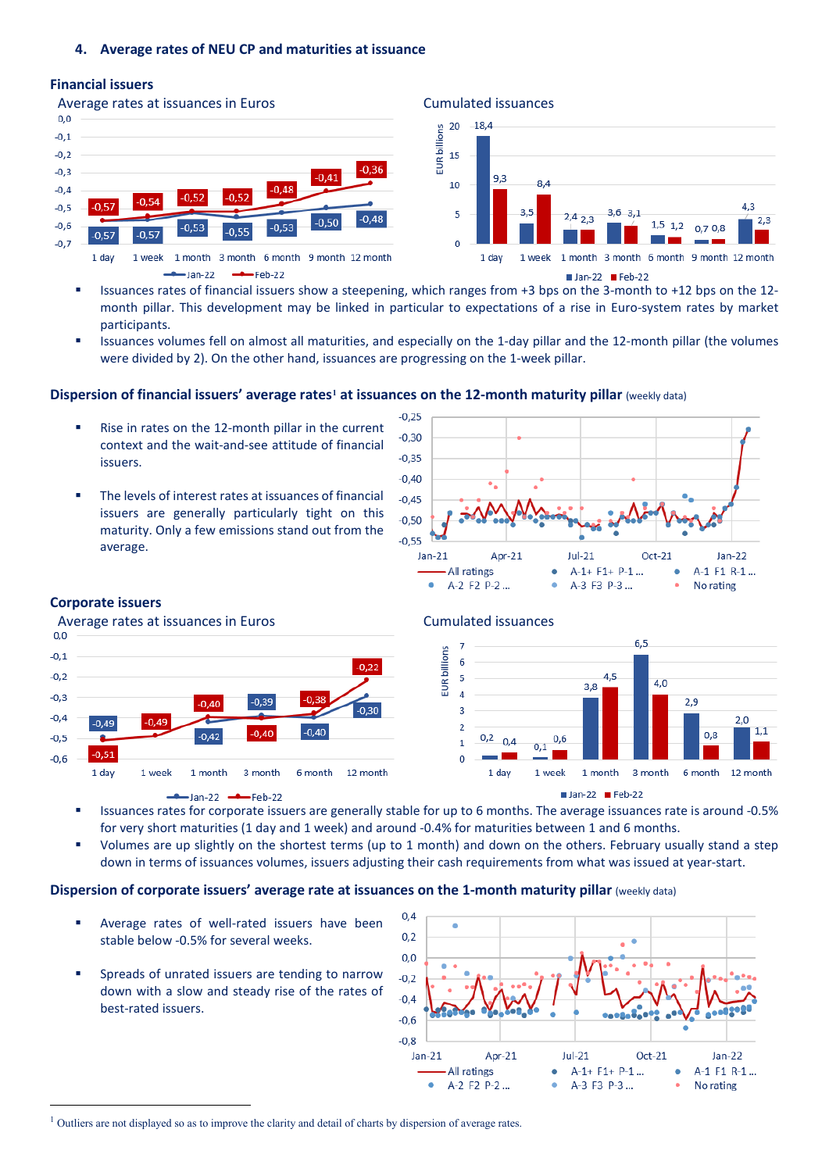# **Financial issuers**



- Issuances rates of financial issuers show a steepening, which ranges from +3 bps on the 3-month to +12 bps on the 12 month pillar. This development may be linked in particular to expectations of a rise in Euro-system rates by market participants.
- Issuances volumes fell on almost all maturities, and especially on the 1-day pillar and the 12-month pillar (the volumes were divided by 2). On the other hand, issuances are progressing on the 1-week pillar.

# **Dispersion of financial issuers' average rates[1](#page-2-0) at issuances on the 12-month maturity pillar** (weekly data)

- Rise in rates on the 12-month pillar in the current context and the wait-and-see attitude of financial issuers.
- The levels of interest rates at issuances of financial issuers are generally particularly tight on this maturity. Only a few emissions stand out from the average.



 $2.3$ 

# **Corporate issuers**

Average rates at issuances in Euros **Cumulated issuances** Cumulated issuances

![](_page_2_Figure_11.jpeg)

# -Jan-22  $\longrightarrow$  Feb-22

![](_page_2_Figure_14.jpeg)

![](_page_2_Figure_15.jpeg)

- Issuances rates for corporate issuers are generally stable for up to 6 months. The average issuances rate is around -0.5% for very short maturities (1 day and 1 week) and around -0.4% for maturities between 1 and 6 months.
- Volumes are up slightly on the shortest terms (up to 1 month) and down on the others. February usually stand a step down in terms of issuances volumes, issuers adjusting their cash requirements from what was issued at year-start.

# **Dispersion of corporate issuers' average rate at issuances on the 1-month maturity pillar (weekly data)**

- Average rates of well-rated issuers have been stable below -0.5% for several weeks.
- Spreads of unrated issuers are tending to narrow down with a slow and steady rise of the rates of best-rated issuers.

![](_page_2_Figure_21.jpeg)

<span id="page-2-0"></span><sup>&</sup>lt;sup>1</sup> Outliers are not displayed so as to improve the clarity and detail of charts by dispersion of average rates.